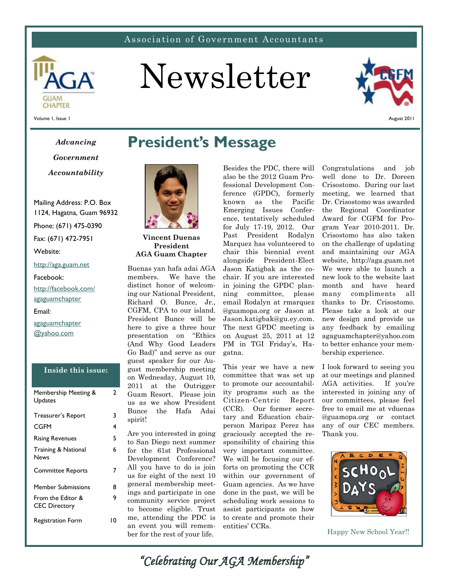### Association of Government Accountants



# Newsletter



Volume 1, Issue 1

# *Advancing Government*

*Accountability*

Mailing Address: P.O. Box 1124, Hagatna, Guam 96932

Phone: (671) 475-0390

Fax: (671) 472-7951

Website:

### http://aga.guam.net

Facebook:

http://facebook.com/ agaguamchapter Email: agaguamchapter @yahoo.com

### **Inside this issue:**

2

6

9

| Membership Meeting &<br>Updates           | 2  |
|-------------------------------------------|----|
| Treasurer's Report                        | 3  |
| CGFM                                      | 4  |
| <b>Rising Revenues</b>                    | 5  |
| <b>Training &amp; National</b><br>News    | 6  |
| <b>Committee Reports</b>                  | 7  |
| Member Submissions                        | 8  |
| From the Editor &<br><b>CEC Directory</b> | 9  |
| <b>Registration Form</b>                  | ١O |

# **President's Message**



**Vincent Duenas President AGA Guam Chapter**

Buenas yan hafa adai AGA members. We have the distinct honor of welcoming our National President, Richard O. Bunce, Jr., CGFM, CPA to our island. President Bunce will be here to give a three hour presentation on "Ethics (And Why Good Leaders Go Bad)" and serve as our guest speaker for our August membership meeting on Wednesday, August 10, 2011 at the Outrigger Guam Resort. Please join us as we show President Bunce the Hafa Adai spirit!

Are you interested in going to San Diego next summer for the 61st Professional Development Conference? All you have to do is join us for eight of the next 10 general membership meetings and participate in one community service project to become eligible. Trust me, attending the PDC is an event you will remember for the rest of your life.

Besides the PDC, there will also be the 2012 Guam Professional Development Conference (GPDC), formerly known as the Pacific Emerging Issues Conference, tentatively scheduled for July 17-19, 2012. Our Past President Rodalyn Marquez has volunteered to chair this biennial event alongside President-Elect Jason Katigbak as the cochair. If you are interested in joining the GPDC planning committee, please email Rodalyn at rmarquez @guamopa.org or Jason at Jason.katigbak@gu.ey.com. The next GPDC meeting is on August 25, 2011 at 12 PM in TGI Friday's, Hagatna.

This year we have a new committee that was set up to promote our accountability programs such as the Citizen-Centric Report (CCR). Our former secretary and Education chairperson Maripaz Perez has graciously accepted the responsibility of chairing this very important committee. We will be focusing our efforts on promoting the CCR within our government of Guam agencies. As we have done in the past, we will be scheduling work sessions to assist participants on how to create and promote their entities' CCRs.

Congratulations and job well done to Dr. Doreen Crisostomo. During our last meeting, we learned that Dr. Crisostomo was awarded the Regional Coordinator Award for CGFM for Program Year 2010-2011. Dr. Crisostomo has also taken on the challenge of updating and maintaining our AGA website, http://aga.guam.net We were able to launch a new look to the website last month and have heard many compliments all thanks to Dr. Crisostomo. Please take a look at our new design and provide us any feedback by emailing agaguamchapter@yahoo.com to better enhance your membership experience.

I look forward to seeing you at our meetings and planned AGA activities. If you're interested in joining any of our committees, please feel free to email me at vduenas @guamopa.org or contact any of our CEC members. Thank you.



Happy New School Year!!

*"Celebrating Our AGA Membership"*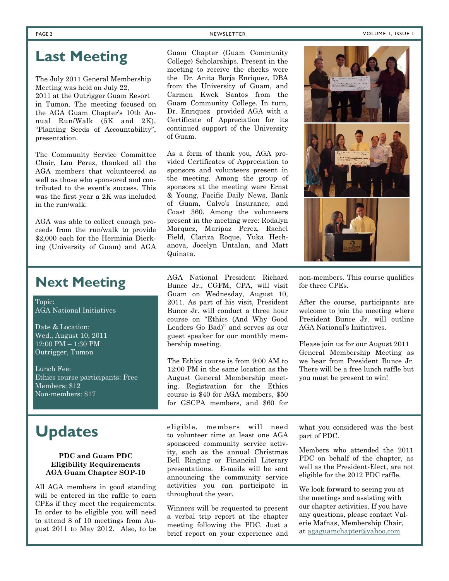# **Last Meeting**

The July 2011 General Membership Meeting was held on July 22, 2011 at the Outrigger Guam Resort in Tumon. The meeting focused on the AGA Guam Chapter's 10th Annual Run/Walk (5K and 2K), "Planting Seeds of Accountability", presentation.

The Community Service Committee Chair, Lou Perez, thanked all the AGA members that volunteered as well as those who sponsored and contributed to the event's success. This was the first year a 2K was included in the run/walk.

AGA was able to collect enough proceeds from the run/walk to provide \$2,000 each for the Herminia Dierking (University of Guam) and AGA

Guam Chapter (Guam Community College) Scholarships. Present in the meeting to receive the checks were the Dr. Anita Borja Enriquez, DBA from the University of Guam, and Carmen Kwek Santos from the Guam Community College. In turn, Dr. Enriquez provided AGA with a Certificate of Appreciation for its continued support of the University of Guam.

As a form of thank you, AGA provided Certificates of Appreciation to sponsors and volunteers present in the meeting. Among the group of sponsors at the meeting were Ernst & Young, Pacific Daily News, Bank of Guam, Calvo's Insurance, and Coast 360. Among the volunteers present in the meeting were: Rodalyn Marquez, Maripaz Perez, Rachel Field, Clariza Roque, Yuka Hechanova, Jocelyn Untalan, and Matt Quinata.



Topic: AGA National Initiatives

Date & Location: Wed., August 10, 2011 12:00 PM – 1:30 PM Outrigger, Tumon

Lunch Fee: Ethics course participants: Free Members: \$12 Non-members: \$17

# **Updates**

### **PDC and Guam PDC Eligibility Requirements AGA Guam Chapter SOP-10**

All AGA members in good standing will be entered in the raffle to earn CPEs if they meet the requirements. In order to be eligible you will need to attend 8 of 10 meetings from August 2011 to May 2012. Also, to be AGA National President Richard Bunce Jr., CGFM, CPA, will visit Guam on Wednesday, August 10, 2011. As part of his visit, President Bunce Jr. will conduct a three hour course on "Ethics (And Why Good Leaders Go Bad)" and serves as our guest speaker for our monthly membership meeting.

The Ethics course is from 9:00 AM to 12:00 PM in the same location as the August General Membership meeting. Registration for the Ethics course is \$40 for AGA members, \$50 for GSCPA members, and \$60 for

eligible, members will need to volunteer time at least one AGA sponsored community service activity, such as the annual Christmas Bell Ringing or Financial Literary presentations. E-mails will be sent announcing the community service activities you can participate in throughout the year.

Winners will be requested to present a verbal trip report at the chapter meeting following the PDC. Just a brief report on your experience and



non-members. This course qualifies for three CPEs.

After the course, participants are welcome to join the meeting where President Bunce Jr. will outline AGA National's Initiatives.

Please join us for our August 2011 General Membership Meeting as we hear from President Bunce Jr. There will be a free lunch raffle but you must be present to win!

what you considered was the best part of PDC.

Members who attended the 2011 PDC on behalf of the chapter, as well as the President-Elect, are not eligible for the 2012 PDC raffle.

We look forward to seeing you at the meetings and assisting with our chapter activities. If you have any questions, please contact Valerie Mafnas, Membership Chair, at agaguamchapter@yahoo.com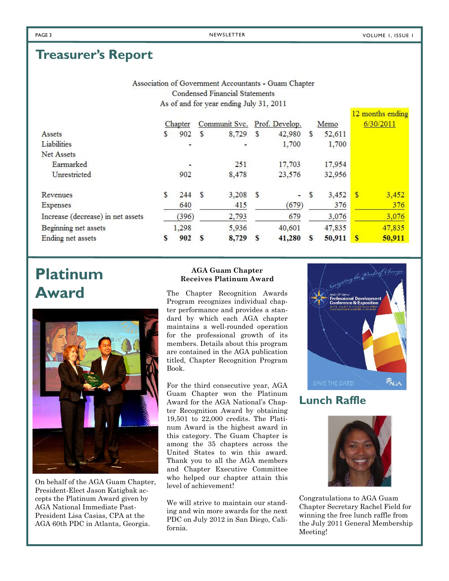$10$  are with  $\epsilon$  and  $R_{\rm m}$ .

# **Treasurer's Report**

| Association of Government Accountants - Guam Chapter |
|------------------------------------------------------|
| Condensed Financial Statements                       |
| As of and for year ending July 31, 2011              |

|                                   |   |         |               |                              |               |        |    |        |              | TA HIOIHIIS CHUIHE |
|-----------------------------------|---|---------|---------------|------------------------------|---------------|--------|----|--------|--------------|--------------------|
|                                   |   | Chapter |               | Communit Svc. Prof. Develop. |               |        |    | Memo   |              | 6/30/2011          |
| Assets                            | S | 902     | S             | 8,729                        | \$            | 42,980 | S  | 52,611 |              |                    |
| Liabilities                       |   | ÷       |               | ٠                            |               | 1,700  |    | 1,700  |              |                    |
| Net Assets                        |   |         |               |                              |               |        |    |        |              |                    |
| Earmarked                         |   | ¥       |               | 251                          |               | 17,703 |    | 17,954 |              |                    |
| Unrestricted                      |   | 902     |               | 8,478                        |               | 23,576 |    | 32,956 |              |                    |
| Revenues                          | S | 244     | <sup>\$</sup> | 3,208                        | <sup>\$</sup> | e.     | \$ | 3,452  | $\mathbf{s}$ | 3,452              |
| Expenses                          |   | 640     |               | 415                          |               | (679)  |    | 376    |              | 376                |
| Increase (decrease) in net assets |   | (396)   |               | 2,793                        |               | 679    |    | 3,076  |              | 3,076              |
| Beginning net assets              |   | 1,298   |               | 5,936                        |               | 40,601 |    | 47,835 |              | 47,835             |
| Ending net assets                 | S | 902     | S             | 8,729                        | S             | 41,280 | S  | 50,911 | S            | 50,911             |

# **Platinum Award**



On behalf of the AGA Guam Chapter, President-Elect Jason Katigbak accepts the Platinum Award given by AGA National Immediate Past-President Lisa Casias, CPA at the AGA 60th PDC in Atlanta, Georgia.

### **AGA Guam Chapter Receives Platinum Award**

The Chapter Recognition Awards Program recognizes individual chapter performance and provides a standard by which each AGA chapter maintains a well-rounded operation for the professional growth of its members. Details about this program are contained in the AGA publication titled, Chapter Recognition Program Book.

For the third consecutive year, AGA Guam Chapter won the Platinum Award for the AGA National's Chapter Recognition Award by obtaining 19,501 to 22,000 credits. The Platinum Award is the highest award in this category. The Guam Chapter is among the 35 chapters across the United States to win this award. Thank you to all the AGA members and Chapter Executive Committee who helped our chapter attain this level of achievement!

We will strive to maintain our standing and win more awards for the next PDC on July 2012 in San Diego, California.



# **Lunch Raffle**



Congratulations to AGA Guam Chapter Secretary Rachel Field for winning the free lunch raffle from the July 2011 General Membership Meeting!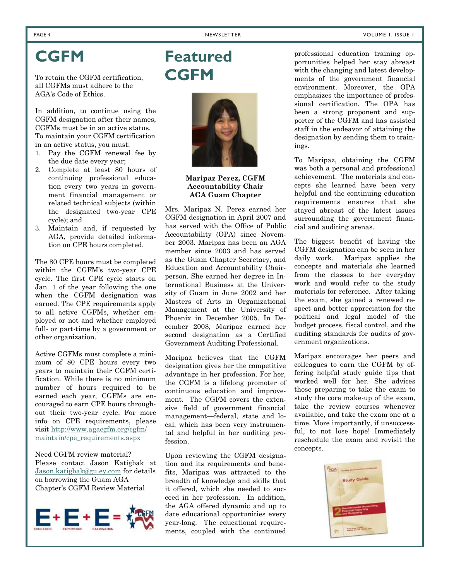# **CGFM**

To retain the CGFM certification, all CGFMs must adhere to the AGA's Code of Ethics.

In addition, to continue using the CGFM designation after their names, CGFMs must be in an active status. To maintain your CGFM certification in an active status, you must:

- 1. Pay the CGFM renewal fee by the due date every year;
- 2. Complete at least 80 hours of continuing professional education every two years in government financial management or related technical subjects (within the designated two-year CPE cycle); and
- 3. Maintain and, if requested by AGA, provide detailed information on CPE hours completed.

The 80 CPE hours must be completed within the CGFM's two-year CPE cycle. The first CPE cycle starts on Jan. 1 of the year following the one when the CGFM designation was earned. The CPE requirements apply to all active CGFMs, whether employed or not and whether employed full- or part-time by a government or other organization.

Active CGFMs must complete a minimum of 80 CPE hours every two years to maintain their CGFM certification. While there is no minimum number of hours required to be earned each year, CGFMs are encouraged to earn CPE hours throughout their two-year cycle. For more info on CPE requirements, please visit http://www.agacgfm.org/cgfm/ maintain/cpe\_requirements.aspx

Need CGFM review material? Please contact Jason Katigbak at Jason.katigbak@gu.ey.com for details on borrowing the Guam AGA Chapter's CGFM Review Material



# **Featured CGFM**



**Maripaz Perez, CGFM Accountability Chair AGA Guam Chapter**

Mrs. Maripaz N. Perez earned her CGFM designation in April 2007 and has served with the Office of Public Accountability (OPA) since November 2003. Maripaz has been an AGA member since 2003 and has served as the Guam Chapter Secretary, and Education and Accountability Chairperson. She earned her degree in International Business at the University of Guam in June 2002 and her Masters of Arts in Organizational Management at the University of Phoenix in December 2005. In December 2008, Maripaz earned her second designation as a Certified Government Auditing Professional.

Maripaz believes that the CGFM designation gives her the competitive advantage in her profession. For her, the CGFM is a lifelong promoter of continuous education and improvement. The CGFM covers the extensive field of government financial management—federal, state and local, which has been very instrumental and helpful in her auditing profession.

Upon reviewing the CGFM designation and its requirements and benefits, Maripaz was attracted to the breadth of knowledge and skills that it offered, which she needed to succeed in her profession. In addition, the AGA offered dynamic and up to date educational opportunities every year-long. The educational requirements, coupled with the continued

professional education training opportunities helped her stay abreast with the changing and latest developments of the government financial environment. Moreover, the OPA emphasizes the importance of professional certification. The OPA has been a strong proponent and supporter of the CGFM and has assisted staff in the endeavor of attaining the designation by sending them to trainings.

To Maripaz, obtaining the CGFM was both a personal and professional achievement. The materials and concepts she learned have been very helpful and the continuing education requirements ensures that she stayed abreast of the latest issues surrounding the government financial and auditing arenas.

The biggest benefit of having the CGFM designation can be seen in her daily work. Maripaz applies the concepts and materials she learned from the classes to her everyday work and would refer to the study materials for reference. After taking the exam, she gained a renewed respect and better appreciation for the political and legal model of the budget process, fiscal control, and the auditing standards for audits of government organizations.

Maripaz encourages her peers and colleagues to earn the CGFM by offering helpful study guide tips that worked well for her. She advices those preparing to take the exam to study the core make-up of the exam, take the review courses whenever available, and take the exam one at a time. More importantly, if unsuccessful, to not lose hope! Immediately reschedule the exam and revisit the concepts.

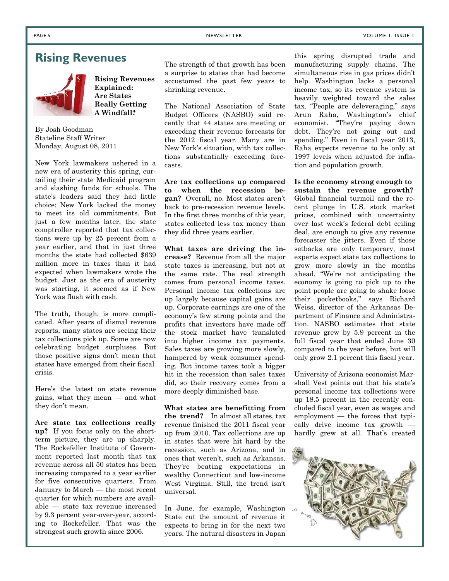## **Rising Revenues**



**Rising Revenues Explained: Are States Really Getting A Windfall?**

By Josh Goodman Stateline Staff Writer Monday, August 08, 2011

New York lawmakers ushered in a new era of austerity this spring, curtailing their state Medicaid program and slashing funds for schools. The state's leaders said they had little choice: New York lacked the money to meet its old commitments. But just a few months later, the state comptroller reported that tax collections were up by 25 percent from a year earlier, and that in just three months the state had collected \$639 million more in taxes than it had expected when lawmakers wrote the budget. Just as the era of austerity was starting, it seemed as if New York was flush with cash.

The truth, though, is more complicated. After years of dismal revenue reports, many states are seeing their tax collections pick up. Some are now celebrating budget surpluses. But those positive signs don't mean that states have emerged from their fiscal crisis.

Here's the latest on state revenue gains, what they mean — and what they don't mean.

**Are state tax collections really up?** If you focus only on the shortterm picture, they are up sharply. The Rockefeller Institute of Government reported last month that tax revenue across all 50 states has been increasing compared to a year earlier for five consecutive quarters. From January to March — the most recent quarter for which numbers are available — state tax revenue increased by 9.3 percent year-over-year, according to Rockefeller. That was the strongest such growth since 2006.

The strength of that growth has been a surprise to states that had become accustomed the past few years to shrinking revenue.

The National Association of State Budget Officers (NASBO) said recently that 44 states are meeting or exceeding their revenue forecasts for the 2012 fiscal year. Many are in New York's situation, with tax collections substantially exceeding forecasts.

**Are tax collections up compared to when the recession began?** Overall, no. Most states aren't back to pre-recession revenue levels. In the first three months of this year, states collected less tax money than they did three years earlier.

**What taxes are driving the increase?** Revenue from all the major state taxes is increasing, but not at the same rate. The real strength comes from personal income taxes. Personal income tax collections are up largely because capital gains are up. Corporate earnings are one of the economy's few strong points and the profits that investors have made off the stock market have translated into higher income tax payments. Sales taxes are growing more slowly, hampered by weak consumer spending. But income taxes took a bigger hit in the recession than sales taxes did, so their recovery comes from a more deeply diminished base.

**What states are benefitting from the trend?** In almost all states, tax revenue finished the 2011 fiscal year up from 2010. Tax collections are up in states that were hit hard by the recession, such as Arizona, and in ones that weren't, such as Arkansas. They're beating expectations in wealthy Connecticut and low-income West Virginia. Still, the trend isn't universal.

In June, for example, Washington State cut the amount of revenue it expects to bring in for the next two years. The natural disasters in Japan

this spring disrupted trade and manufacturing supply chains. The simultaneous rise in gas prices didn't help. Washington lacks a personal income tax, so its revenue system is heavily weighted toward the sales tax. "People are deleveraging," says Arun Raha, Washington's chief economist. "They're paying down debt. They're not going out and spending." Even in fiscal year 2013, Raha expects revenue to be only at 1997 levels when adjusted for inflation and population growth.

**Is the economy strong enough to sustain the revenue growth?** Global financial turmoil and the recent plunge in U.S. stock market prices, combined with uncertainty over last week's federal debt ceiling deal, are enough to give any revenue forecaster the jitters. Even if those setbacks are only temporary, most experts expect state tax collections to grow more slowly in the months ahead. "We're not anticipating the economy is going to pick up to the point people are going to shake loose their pocketbooks," says Richard Weiss, director of the Arkansas Department of Finance and Administration. NASBO estimates that state revenue grew by 5.9 percent in the full fiscal year that ended June 30 compared to the year before, but will only grow 2.1 percent this fiscal year.

University of Arizona economist Marshall Vest points out that his state's personal income tax collections were up 18.5 percent in the recently concluded fiscal year, even as wages and employment — the forces that typically drive income tax growth hardly grew at all. That's created

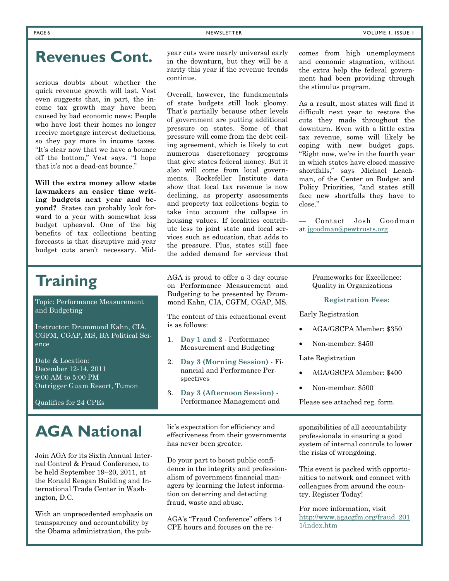# **Revenues Cont.**

serious doubts about whether the quick revenue growth will last. Vest even suggests that, in part, the income tax growth may have been caused by bad economic news: People who have lost their homes no longer receive mortgage interest deductions, so they pay more in income taxes. "It's clear now that we have a bounce off the bottom," Vest says. "I hope that it's not a dead-cat bounce."

**Will the extra money allow state lawmakers an easier time writing budgets next year and beyond?** States can probably look forward to a year with somewhat less budget upheaval. One of the big benefits of tax collections beating forecasts is that disruptive mid-year budget cuts aren't necessary. Midyear cuts were nearly universal early in the downturn, but they will be a rarity this year if the revenue trends continue.

Overall, however, the fundamentals of state budgets still look gloomy. That's partially because other levels of government are putting additional pressure on states. Some of that pressure will come from the debt ceiling agreement, which is likely to cut numerous discretionary programs that give states federal money. But it also will come from local governments. Rockefeller Institute data show that local tax revenue is now declining, as property assessments and property tax collections begin to take into account the collapse in housing values. If localities contribute less to joint state and local services such as education, that adds to the pressure. Plus, states still face the added demand for services that

comes from high unemployment and economic stagnation, without the extra help the federal government had been providing through the stimulus program.

As a result, most states will find it difficult next year to restore the cuts they made throughout the downturn. Even with a little extra tax revenue, some will likely be coping with new budget gaps. "Right now, we're in the fourth year in which states have closed massive shortfalls," says Michael Leachman, of the Center on Budget and Policy Priorities, "and states still face new shortfalls they have to close."

— Contact Josh Goodman at jgoodman@pewtrusts.org

# **Training**

Topic: Performance Measurement and Budgeting

Instructor: Drummond Kahn, CIA, CGFM, CGAP, MS, BA Political Science

Date & Location: December 12-14, 2011 9:00 AM to 5:00 PM Outrigger Guam Resort, Tumon

Qualifies for 24 CPEs

Join AGA for its Sixth Annual Internal Control & Fraud Conference, to be held September 19–20, 2011, at the Ronald Reagan Building and International Trade Center in Washington, D.C.

With an unprecedented emphasis on transparency and accountability by the Obama administration, the pubAGA is proud to offer a 3 day course on Performance Measurement and Budgeting to be presented by Drummond Kahn, CIA, CGFM, CGAP, MS.

The content of this educational event is as follows:

- 1. **Day 1 and 2** Performance Measurement and Budgeting
- 2. **Day 3 (Morning Session)** Financial and Performance Perspectives
- 3. **Day 3 (Afternoon Session)** Performance Management and

**AGA National** lic's expectation for efficiency and effectiveness from their governments has never been greater.

> Do your part to boost public confidence in the integrity and professionalism of government financial managers by learning the latest information on deterring and detecting fraud, waste and abuse.

AGA's "Fraud Conference" offers 14 CPE hours and focuses on the reFrameworks for Excellence: Quality in Organizations

### **Registration Fees:**

Early Registration

- AGA/GSCPA Member: \$350
- Non-member: \$450

Late Registration

- AGA/GSCPA Member: \$400
- Non-member: \$500

Please see attached reg. form.

sponsibilities of all accountability professionals in ensuring a good system of internal controls to lower the risks of wrongdoing.

This event is packed with opportunities to network and connect with colleagues from around the country. Register Today!

For more information, visit http://www.agacgfm.org/fraud\_201 1/index.htm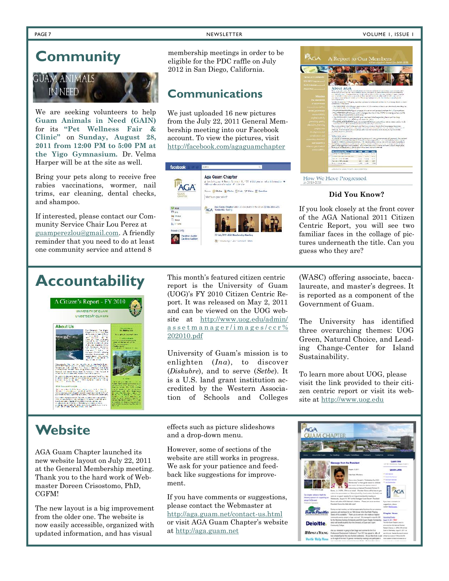### PAGE 7 NEWSLETTER NEWSLETTER NEWSLETTER VOLUME 1, ISSUE 1

# **Community**



We are seeking volunteers to help **Guam Animals in Need (GAIN)** for its **"Pet Wellness Fair & Clinic"** on **Sunday, August 28, 2011 from 12:00 PM to 5:00 PM at the Yigo Gymnasium.** Dr. Velma Harper will be at the site as well.

Bring your pets along to receive free rabies vaccinations, wormer, nail trims, ear cleaning, dental checks, and shampoo.

If interested, please contact our Community Service Chair Lou Perez at guamperezlou@gmail.com. A friendly reminder that you need to do at least one community service and attend 8

membership meetings in order to be eligible for the PDC raffle on July 2012 in San Diego, California.

# **Communications**

We just uploaded 16 new pictures from the July 22, 2011 General Membership meeting into our Facebook account. To view the pictures, visit http://facebook.com/agaguamchapter



**PAGA** A Report to Our Memb LAGA 10 play, welling update this means on the ACA articles; News a bel ilk por energy power association of the con-<br>ilk por energy when AC. As moderate here or che<br>marked if , the TMCS<br>state in the latter space of the state of positivized as the alleged<br>state of the STS control of the state of the STS control of the STS control<br>of the state of the state of the state of the STS control of the .<br>Die eerste staat deur de begin deur die veer prieste plaaste de bestel gegenste staat.<br>Die eerste het van die verskap van de staat de gestel gebore de staat gegenste verskap.<br>Die staat het van die staat deur die staat de Who ist And ellem sond contembrans. The membership consecutive process of the second service of the service of the service<br>Superior and the service of the service of the service of the service of the service of the service of the ser<br>  $\begin{bmatrix} 1 & 0 & 0 & 0 \\ 0 & 0 & 0 & 0 \\ 0 & 0 & 0 & 0 \\ 0 & 0 & 0 & 0 \\ 0 & 0 & 0 & 0 \\ 0 & 0 & 0 & 0 \\ 0 & 0 & 0 & 0 \\ 0 & 0 & 0 & 0 \\ 0 & 0 & 0 & 0 \\ 0 & 0 & 0 & 0 \\ 0 & 0 & 0 & 0 \\ 0 & 0 & 0 & 0 \\ 0 & 0 & 0 & 0 & 0 \\ 0 & 0 & 0 & 0 & 0 \\ 0 & 0 & 0 & 0 & 0 \\ 0 & 0 & 0 & 0 & 0 & 0 \\ 0 & 0 &$  $\begin{array}{cccc} \rho_{1,2,4,4} & \lambda_{1,3,4,4,4} & 0.048 \\ 0.05 & 0.06 & 0.029 \\ 0.06 & 0.069 & 0.089 \end{array}$ How We Have Progressed

### **Did You Know?**

If you look closely at the front cover of the AGA National 2011 Citizen Centric Report, you will see two familiar faces in the collage of pictures underneath the title. Can you guess who they are?

# **Accountability**



This month's featured citizen centric report is the University of Guam (UOG)'s FY 2010 Citizen Centric Report. It was released on May 2, 2011 and can be viewed on the UOG website at http://www.uog.edu/admin/ a s s e t m a n a g e r / i m a g e s / c c r % 202010.pdf

University of Guam's mission is to enlighten (*Ina*), to discover (*Diskubre*), and to serve (*Setbe*). It is a U.S. land grant institution accredited by the Western Association of Schools and Colleges

(WASC) offering associate, baccalaureate, and master's degrees. It is reported as a component of the Government of Guam.

The University has identified three overarching themes: UOG Green, Natural Choice, and Leading Change-Center for Island Sustainability.

To learn more about UOG, please visit the link provided to their citizen centric report or visit its website at http://www.uog.edu

AGA Guam Chapter launched its new website layout on July 22, 2011 at the General Membership meeting. Thank you to the hard work of Webmaster Doreen Crisostomo, PhD, CGFM!

The new layout is a big improvement from the older one. The website is now easily accessible, organized with updated information, and has visual

Website **effects** such as picture slideshows and a drop-down menu.

> However, some of sections of the website are still works in progress. We ask for your patience and feedback like suggestions for improvement.

If you have comments or suggestions, please contact the Webmaster at http://aga.guam.net/contact-us.html or visit AGA Guam Chapter's website at http://aga.guam.net

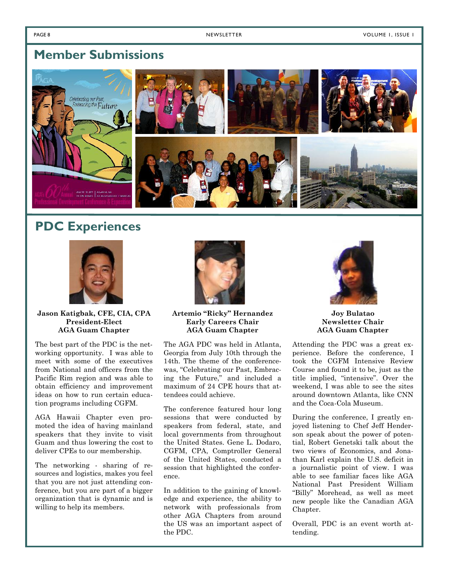# **Member Submissions**



# **PDC Experiences**



**Jason Katigbak, CFE, CIA, CPA President-Elect AGA Guam Chapter**

The best part of the PDC is the networking opportunity. I was able to meet with some of the executives from National and officers from the Pacific Rim region and was able to obtain efficiency and improvement ideas on how to run certain education programs including CGFM.

AGA Hawaii Chapter even promoted the idea of having mainland speakers that they invite to visit Guam and thus lowering the cost to deliver CPEs to our membership.

The networking - sharing of resources and logistics, makes you feel that you are not just attending conference, but you are part of a bigger organization that is dynamic and is willing to help its members.



**Artemio "Ricky" Hernandez Early Careers Chair AGA Guam Chapter**

The AGA PDC was held in Atlanta, Georgia from July 10th through the 14th. The theme of the conferencewas, "Celebrating our Past, Embracing the Future," and included a maximum of 24 CPE hours that attendees could achieve.

The conference featured hour long sessions that were conducted by speakers from federal, state, and local governments from throughout the United States. Gene L. Dodaro, CGFM, CPA, Comptroller General of the United States, conducted a session that highlighted the conference.

In addition to the gaining of knowledge and experience, the ability to network with professionals from other AGA Chapters from around the US was an important aspect of the PDC.



**Joy Bulatao Newsletter Chair AGA Guam Chapter**

Attending the PDC was a great experience. Before the conference, I took the CGFM Intensive Review Course and found it to be, just as the title implied, "intensive". Over the weekend, I was able to see the sites around downtown Atlanta, like CNN and the Coca-Cola Museum.

During the conference, I greatly enjoyed listening to Chef Jeff Henderson speak about the power of potential, Robert Genetski talk about the two views of Economics, and Jonathan Karl explain the U.S. deficit in a journalistic point of view. I was able to see familiar faces like AGA National Past President William "Billy" Morehead, as well as meet new people like the Canadian AGA Chapter.

Overall, PDC is an event worth attending.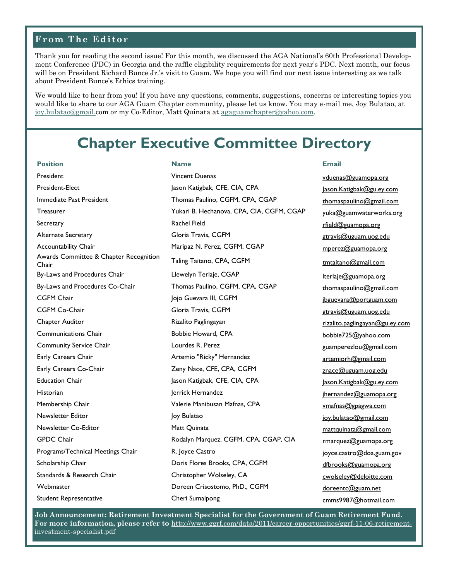### **From The Editor**

Thank you for reading the second issue! For this month, we discussed the AGA National's 60th Professional Development Conference (PDC) in Georgia and the raffle eligibility requirements for next year's PDC. Next month, our focus will be on President Richard Bunce Jr.'s visit to Guam. We hope you will find our next issue interesting as we talk about President Bunce's Ethics training.

We would like to hear from you! If you have any questions, comments, suggestions, concerns or interesting topics you would like to share to our AGA Guam Chapter community, please let us know. You may e-mail me, Joy Bulatao, at joy.bulatao@gmail.com or my Co-Editor, Matt Quinata at agaguamchapter@yahoo.com.

# **Chapter Executive Committee Directory**

**Position Name Email** President Exercicle Controllerium Vincent Duenas von de voltation and version version version version version v President-Elect Jason Katigbak, CFE, CIA, CPA Jason.Katigbak@gu.ey.com Immediate Past President Thomas Paulino, CGFM, CPA, CGAP thomaspaulino@gmail.com Treasurer Treasurer Treasurer Yukari B. Hechanova, CPA, CIA, CGFM, CGAP yuka@guamwaterworks.org Secretary **Secretary Rachel Field Rachel Field Rachel Field Rachel Field Rachel Reserves and Rachel Rachel Reserves and Rachel Reserves and Rachel Reserves and Rachel Reserves and Rachel Reserves and Rachel Reserves and** Alternate Secretary **Gloria Travis, CGFM** and the secretary secretary of the secretary of the secretary of the secretary of the secretary of the secretary of the secretary of the secretary of the secretary of the secretary Accountability Chair **Maripaz N. Perez, CGFM, CGAP** mperez@guamopa.org Awards Committee & Chapter Recognition Taling Taitano, CPA, CGFM **the Chair community of the Chair** Chair Chair Chair Chair Chair Chair Chair Chair Chair Chair Chair Chair Chair Chair Chair Chair Chair Chair Chair Chair Chair Chair Chair Chair Chair Chair Chair By-Laws and Procedures Chair **Llewelyn Terlaje, CGAP** lterlaje@guamopa.org By-Laws and Procedures Co-Chair Thomas Paulino, CGFM, CPA, CGAP thomas paulino@gmail.com CGFM Chair **CGFM** Chair Jojo Guevara III, CGFM in the state of products and portguam.com CGFM Co-Chair **Gloria Travis, CGFM** Gloria Travis, CGFM Blood Controller Controller Controller Controller Controller Controller Controller Controller Controller Controller Controller Controller Controller Controller Contro Chapter Auditor **Chapter Auditor** Rizalito Paglingayan Rizalito.paglingayan@gu.ey.com Communications Chair **Bobbie Howard, CPA** bobbie725@yahoo.com Community Service Chair **Lourdes R. Perez Community Service Chair** Lourdes R. Perez **Community Service Chair** Early Careers Chair **Artemio "Ricky" Hernandez** artemiorh@gmail.com Early Careers Co-Chair **Zeny Nace, CFE, CPA, CGFM** *znace@uguam.uog.edu* Education Chair Jason Katigbak, CFE, CIA, CPA Jason.Katigbak@gu.ey.com Historian and the Hernandez degree in the Hernandez in the property internandez in the property in the property of the Hernandez of the Hernandez of the Hernandez of the Hernandez of the Hernandez of the Hernandez of the H Membership Chair **Valerie Manibusan Mafnas, CPA** vmathas@gpagwa.com Newsletter Editor **Newsletter Editor** Joy Bulatao **Joy Bulatao is a community of the Constantine Community of the V** Newsletter Co-Editor **Matt Quinata** Matt Quinata matter mattquinata matter matter matter matter matter matter matter GPDC Chair **Rodalyn Marquez, CGFM, CPA, CGAP, CIA** rmarquez@guamopa.org Programs/Technical Meetings Chair **R.** Joyce Castro **1986** and the state of the program.gov Scholarship Chair **Scholarship Chair** Doris Flores Brooks, CPA, CGFM demonstration of the difference of the difference of the difference of the difference of the difference of the difference of the difference of the differ Standards & Research Chair **Christopher Wolseley, CA** cwolseley **Christopher Wolseley** CA cwolseley Chair Webmaster **Doreen Crisostomo, PhD., CGFM** doreentc@guam.net Student Representative Cheri Sumalpong Cheri Sumalpong cmms9987@hotmail.com

**Job Announcement: Retirement Investment Specialist for the Government of Guam Retirement Fund. For more information, please refer to** http://www.ggrf.com/data/2011/career-opportunities/ggrf-11-06-retirementinvestment-specialist.pdf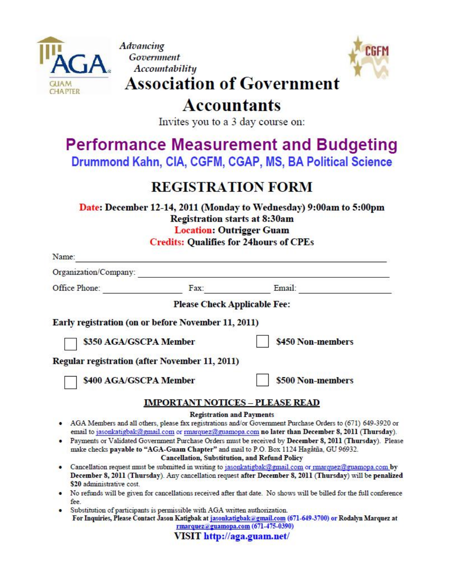

Advancing Government **Accountability** 



# **Association of Government**

# **Accountants**

Invites you to a 3 day course on:

# **Performance Measurement and Budgeting** Drummond Kahn, CIA, CGFM, CGAP, MS, BA Political Science

# **REGISTRATION FORM**

Date: December 12-14, 2011 (Monday to Wednesday) 9:00am to 5:00pm **Registration starts at 8:30am Location: Outrigger Guam Credits: Qualifies for 24hours of CPEs** 

| Name:         |                                                                                        |                                                      |                                                                                                                                                                                                                     |
|---------------|----------------------------------------------------------------------------------------|------------------------------------------------------|---------------------------------------------------------------------------------------------------------------------------------------------------------------------------------------------------------------------|
|               | Organization/Company:                                                                  |                                                      |                                                                                                                                                                                                                     |
| Office Phone: |                                                                                        | Fax:                                                 | Email:                                                                                                                                                                                                              |
|               |                                                                                        | <b>Please Check Applicable Fee:</b>                  |                                                                                                                                                                                                                     |
|               | Early registration (on or before November 11, 2011)                                    |                                                      |                                                                                                                                                                                                                     |
|               | \$350 AGA/GSCPA Member                                                                 |                                                      | \$450 Non-members                                                                                                                                                                                                   |
|               | <b>Regular registration (after November 11, 2011)</b>                                  |                                                      |                                                                                                                                                                                                                     |
|               | \$400 AGA/GSCPA Member                                                                 |                                                      | \$500 Non-members                                                                                                                                                                                                   |
|               |                                                                                        | <b>IMPORTANT NOTICES - PLEASE READ</b>               |                                                                                                                                                                                                                     |
|               |                                                                                        | <b>Registration and Payments</b>                     |                                                                                                                                                                                                                     |
|               |                                                                                        |                                                      | AGA Members and all others, please fax registrations and/or Government Purchase Orders to (671) 649-3920 or<br>email to jasonkatigbak@gmail.com or rmarquez@guamopa.com no later than December 8, 2011 (Thursday).  |
|               | make checks payable to "AGA-Guam Chapter" and mail to P.O. Box 1124 Hagåtña, GU 96932. | <b>Cancellation, Substitution, and Refund Policy</b> | Payments or Validated Government Purchase Orders must be received by December 8, 2011 (Thursday). Please                                                                                                            |
|               |                                                                                        |                                                      |                                                                                                                                                                                                                     |
|               | \$20 administrative cost                                                               |                                                      | Cancellation request must be submitted in writing to jasonkatigbak@gmail.com or marquez@guamopa.com by<br>December 8, 2011 (Thursday). Any cancellation request after December 8, 2011 (Thursday) will be penalized |
| fee.          |                                                                                        |                                                      | No refunds will be given for cancellations received after that date. No shows will be billed for the full conference                                                                                                |
|               | Substitution of participants is permissible with AGA written authorization.            | rmarquez@guamopa.com (671-475-0390)                  | For Inquiries, Please Contact Jason Katigbak at jasonkatigbak@gmail.com (671-649-3700) or Rodalyn Marquez at                                                                                                        |
|               |                                                                                        | VISIT http://aga.guam.net/                           |                                                                                                                                                                                                                     |